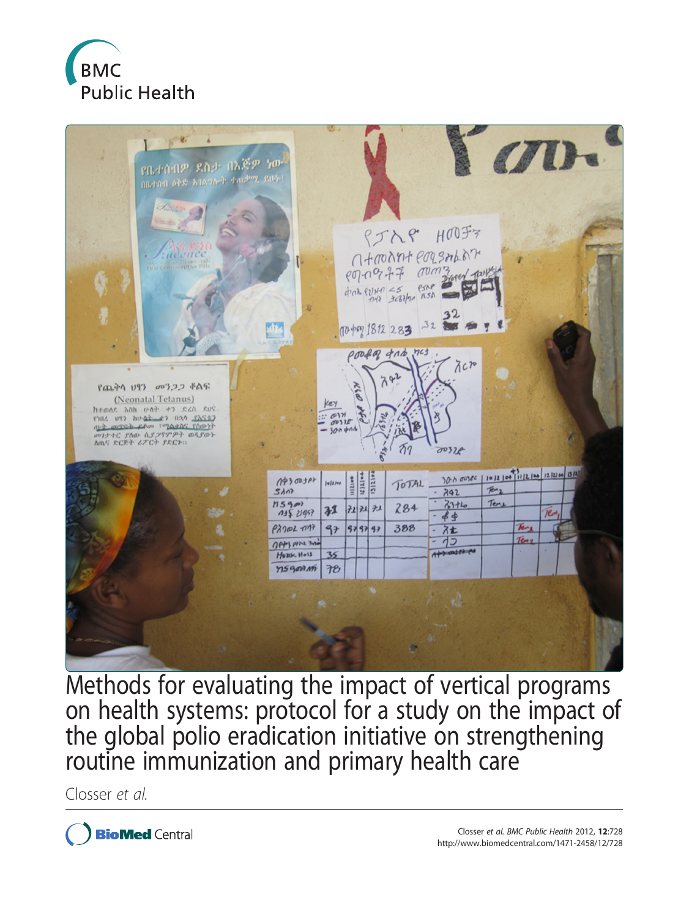



Methods for evaluating the impact of vertical programs on health systems: protocol for a study on the impact of the global polio eradication initiative on strengthening routine immunization and primary health care

Closser et al.

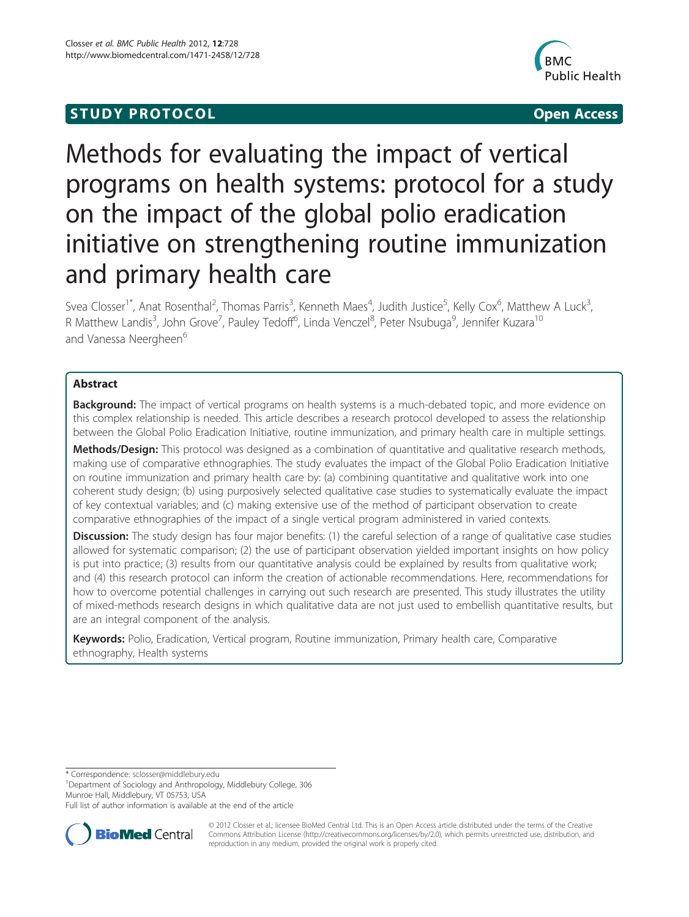# **STUDY PROTOCOL CONSUMING THE CONSUMING OPEN ACCESS**



# Methods for evaluating the impact of vertical programs on health systems: protocol for a study on the impact of the global polio eradication initiative on strengthening routine immunization and primary health care

Svea Closser<sup>1\*</sup>, Anat Rosenthal<sup>2</sup>, Thomas Parris<sup>3</sup>, Kenneth Maes<sup>4</sup>, Judith Justice<sup>5</sup>, Kelly Cox<sup>6</sup>, Matthew A Luck<sup>3</sup> , R Matthew Landis<sup>3</sup>, John Grove<sup>7</sup>, Pauley Tedoff<sup>6</sup>, Linda Venczel<sup>8</sup>, Peter Nsubuga<sup>9</sup>, Jennifer Kuzara<sup>10</sup> and Vanessa Neergheen<sup>6</sup>

# Abstract

Background: The impact of vertical programs on health systems is a much-debated topic, and more evidence on this complex relationship is needed. This article describes a research protocol developed to assess the relationship between the Global Polio Eradication Initiative, routine immunization, and primary health care in multiple settings.

Methods/Design: This protocol was designed as a combination of quantitative and qualitative research methods, making use of comparative ethnographies. The study evaluates the impact of the Global Polio Eradication Initiative on routine immunization and primary health care by: (a) combining quantitative and qualitative work into one coherent study design; (b) using purposively selected qualitative case studies to systematically evaluate the impact of key contextual variables; and (c) making extensive use of the method of participant observation to create comparative ethnographies of the impact of a single vertical program administered in varied contexts.

Discussion: The study design has four major benefits: (1) the careful selection of a range of qualitative case studies allowed for systematic comparison; (2) the use of participant observation yielded important insights on how policy is put into practice; (3) results from our quantitative analysis could be explained by results from qualitative work; and (4) this research protocol can inform the creation of actionable recommendations. Here, recommendations for how to overcome potential challenges in carrying out such research are presented. This study illustrates the utility of mixed-methods research designs in which qualitative data are not just used to embellish quantitative results, but are an integral component of the analysis.

Keywords: Polio, Eradication, Vertical program, Routine immunization, Primary health care, Comparative ethnography, Health systems

\* Correspondence: [sclosser@middlebury.edu](mailto:sclosser@middlebury.edu) <sup>1</sup>

Department of Sociology and Anthropology, Middlebury College, 306 Munroe Hall, Middlebury, VT 05753, USA

Full list of author information is available at the end of the article



© 2012 Closser et al.; licensee BioMed Central Ltd. This is an Open Access article distributed under the terms of the Creative Commons Attribution License [\(http://creativecommons.org/licenses/by/2.0\)](http://creativecommons.org/licenses/by/2.0), which permits unrestricted use, distribution, and reproduction in any medium, provided the original work is properly cited.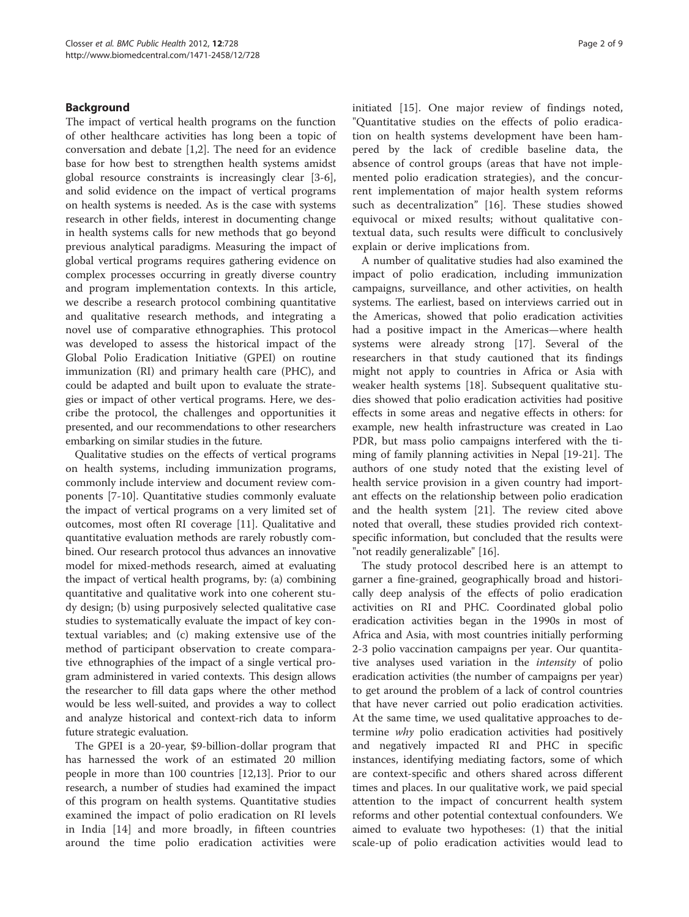# Background

The impact of vertical health programs on the function of other healthcare activities has long been a topic of conversation and debate [[1,2\]](#page-8-0). The need for an evidence base for how best to strengthen health systems amidst global resource constraints is increasingly clear [[3](#page-8-0)[-6](#page-9-0)], and solid evidence on the impact of vertical programs on health systems is needed. As is the case with systems research in other fields, interest in documenting change in health systems calls for new methods that go beyond previous analytical paradigms. Measuring the impact of global vertical programs requires gathering evidence on complex processes occurring in greatly diverse country and program implementation contexts. In this article, we describe a research protocol combining quantitative and qualitative research methods, and integrating a novel use of comparative ethnographies. This protocol was developed to assess the historical impact of the Global Polio Eradication Initiative (GPEI) on routine immunization (RI) and primary health care (PHC), and could be adapted and built upon to evaluate the strategies or impact of other vertical programs. Here, we describe the protocol, the challenges and opportunities it presented, and our recommendations to other researchers embarking on similar studies in the future.

Qualitative studies on the effects of vertical programs on health systems, including immunization programs, commonly include interview and document review components [\[7](#page-9-0)-[10\]](#page-9-0). Quantitative studies commonly evaluate the impact of vertical programs on a very limited set of outcomes, most often RI coverage [[11\]](#page-9-0). Qualitative and quantitative evaluation methods are rarely robustly combined. Our research protocol thus advances an innovative model for mixed-methods research, aimed at evaluating the impact of vertical health programs, by: (a) combining quantitative and qualitative work into one coherent study design; (b) using purposively selected qualitative case studies to systematically evaluate the impact of key contextual variables; and (c) making extensive use of the method of participant observation to create comparative ethnographies of the impact of a single vertical program administered in varied contexts. This design allows the researcher to fill data gaps where the other method would be less well-suited, and provides a way to collect and analyze historical and context-rich data to inform future strategic evaluation.

The GPEI is a 20-year, \$9-billion-dollar program that has harnessed the work of an estimated 20 million people in more than 100 countries [\[12,13](#page-9-0)]. Prior to our research, a number of studies had examined the impact of this program on health systems. Quantitative studies examined the impact of polio eradication on RI levels in India [[14\]](#page-9-0) and more broadly, in fifteen countries around the time polio eradication activities were initiated [[15\]](#page-9-0). One major review of findings noted, "Quantitative studies on the effects of polio eradication on health systems development have been hampered by the lack of credible baseline data, the absence of control groups (areas that have not implemented polio eradication strategies), and the concurrent implementation of major health system reforms such as decentralization" [\[16](#page-9-0)]. These studies showed equivocal or mixed results; without qualitative contextual data, such results were difficult to conclusively explain or derive implications from.

A number of qualitative studies had also examined the impact of polio eradication, including immunization campaigns, surveillance, and other activities, on health systems. The earliest, based on interviews carried out in the Americas, showed that polio eradication activities had a positive impact in the Americas—where health systems were already strong [[17\]](#page-9-0). Several of the researchers in that study cautioned that its findings might not apply to countries in Africa or Asia with weaker health systems [[18\]](#page-9-0). Subsequent qualitative studies showed that polio eradication activities had positive effects in some areas and negative effects in others: for example, new health infrastructure was created in Lao PDR, but mass polio campaigns interfered with the timing of family planning activities in Nepal [\[19](#page-9-0)-[21](#page-9-0)]. The authors of one study noted that the existing level of health service provision in a given country had important effects on the relationship between polio eradication and the health system [\[21\]](#page-9-0). The review cited above noted that overall, these studies provided rich contextspecific information, but concluded that the results were "not readily generalizable" [[16\]](#page-9-0).

The study protocol described here is an attempt to garner a fine-grained, geographically broad and historically deep analysis of the effects of polio eradication activities on RI and PHC. Coordinated global polio eradication activities began in the 1990s in most of Africa and Asia, with most countries initially performing 2-3 polio vaccination campaigns per year. Our quantitative analyses used variation in the intensity of polio eradication activities (the number of campaigns per year) to get around the problem of a lack of control countries that have never carried out polio eradication activities. At the same time, we used qualitative approaches to determine why polio eradication activities had positively and negatively impacted RI and PHC in specific instances, identifying mediating factors, some of which are context-specific and others shared across different times and places. In our qualitative work, we paid special attention to the impact of concurrent health system reforms and other potential contextual confounders. We aimed to evaluate two hypotheses: (1) that the initial scale-up of polio eradication activities would lead to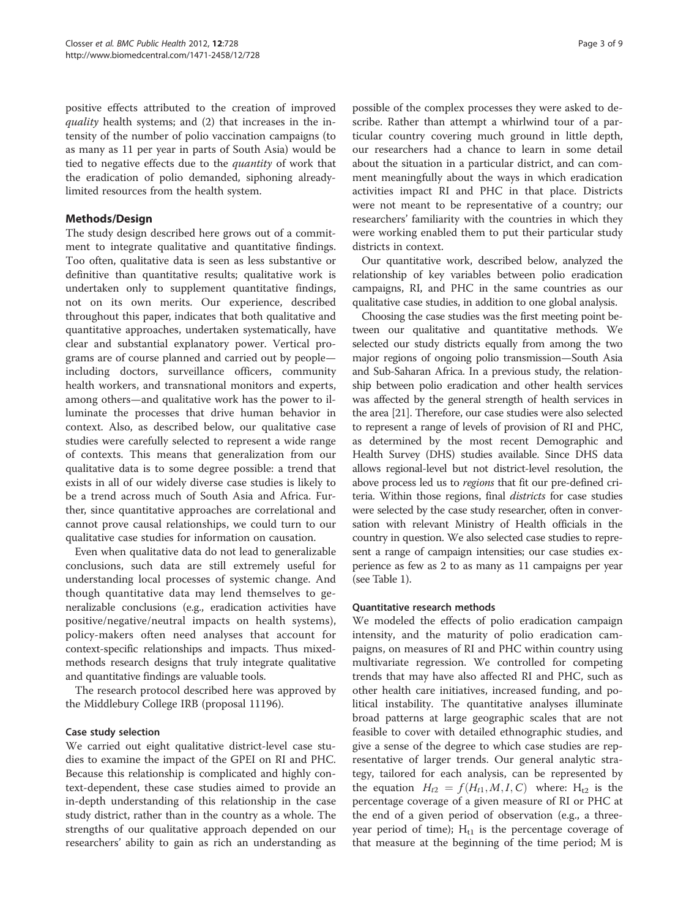positive effects attributed to the creation of improved quality health systems; and (2) that increases in the intensity of the number of polio vaccination campaigns (to as many as 11 per year in parts of South Asia) would be tied to negative effects due to the quantity of work that the eradication of polio demanded, siphoning alreadylimited resources from the health system.

# Methods/Design

The study design described here grows out of a commitment to integrate qualitative and quantitative findings. Too often, qualitative data is seen as less substantive or definitive than quantitative results; qualitative work is undertaken only to supplement quantitative findings, not on its own merits. Our experience, described throughout this paper, indicates that both qualitative and quantitative approaches, undertaken systematically, have clear and substantial explanatory power. Vertical programs are of course planned and carried out by people including doctors, surveillance officers, community health workers, and transnational monitors and experts, among others—and qualitative work has the power to illuminate the processes that drive human behavior in context. Also, as described below, our qualitative case studies were carefully selected to represent a wide range of contexts. This means that generalization from our qualitative data is to some degree possible: a trend that exists in all of our widely diverse case studies is likely to be a trend across much of South Asia and Africa. Further, since quantitative approaches are correlational and cannot prove causal relationships, we could turn to our qualitative case studies for information on causation.

Even when qualitative data do not lead to generalizable conclusions, such data are still extremely useful for understanding local processes of systemic change. And though quantitative data may lend themselves to generalizable conclusions (e.g., eradication activities have positive/negative/neutral impacts on health systems), policy-makers often need analyses that account for context-specific relationships and impacts. Thus mixedmethods research designs that truly integrate qualitative and quantitative findings are valuable tools.

The research protocol described here was approved by the Middlebury College IRB (proposal 11196).

# Case study selection

We carried out eight qualitative district-level case studies to examine the impact of the GPEI on RI and PHC. Because this relationship is complicated and highly context-dependent, these case studies aimed to provide an in-depth understanding of this relationship in the case study district, rather than in the country as a whole. The strengths of our qualitative approach depended on our researchers' ability to gain as rich an understanding as

possible of the complex processes they were asked to describe. Rather than attempt a whirlwind tour of a particular country covering much ground in little depth, our researchers had a chance to learn in some detail about the situation in a particular district, and can comment meaningfully about the ways in which eradication activities impact RI and PHC in that place. Districts were not meant to be representative of a country; our researchers' familiarity with the countries in which they were working enabled them to put their particular study districts in context.

Our quantitative work, described below, analyzed the relationship of key variables between polio eradication campaigns, RI, and PHC in the same countries as our qualitative case studies, in addition to one global analysis.

Choosing the case studies was the first meeting point between our qualitative and quantitative methods. We selected our study districts equally from among the two major regions of ongoing polio transmission—South Asia and Sub-Saharan Africa. In a previous study, the relationship between polio eradication and other health services was affected by the general strength of health services in the area [[21](#page-9-0)]. Therefore, our case studies were also selected to represent a range of levels of provision of RI and PHC, as determined by the most recent Demographic and Health Survey (DHS) studies available. Since DHS data allows regional-level but not district-level resolution, the above process led us to regions that fit our pre-defined criteria. Within those regions, final *districts* for case studies were selected by the case study researcher, often in conversation with relevant Ministry of Health officials in the country in question. We also selected case studies to represent a range of campaign intensities; our case studies experience as few as 2 to as many as 11 campaigns per year (see Table [1\)](#page-4-0).

# Quantitative research methods

We modeled the effects of polio eradication campaign intensity, and the maturity of polio eradication campaigns, on measures of RI and PHC within country using multivariate regression. We controlled for competing trends that may have also affected RI and PHC, such as other health care initiatives, increased funding, and political instability. The quantitative analyses illuminate broad patterns at large geographic scales that are not feasible to cover with detailed ethnographic studies, and give a sense of the degree to which case studies are representative of larger trends. Our general analytic strategy, tailored for each analysis, can be represented by the equation  $H_{t2} = f(H_{t1}, M, I, C)$  where: H<sub>t2</sub> is the percentage coverage of a given measure of RI or PHC at the end of a given period of observation (e.g., a threeyear period of time);  $H_{t1}$  is the percentage coverage of that measure at the beginning of the time period; M is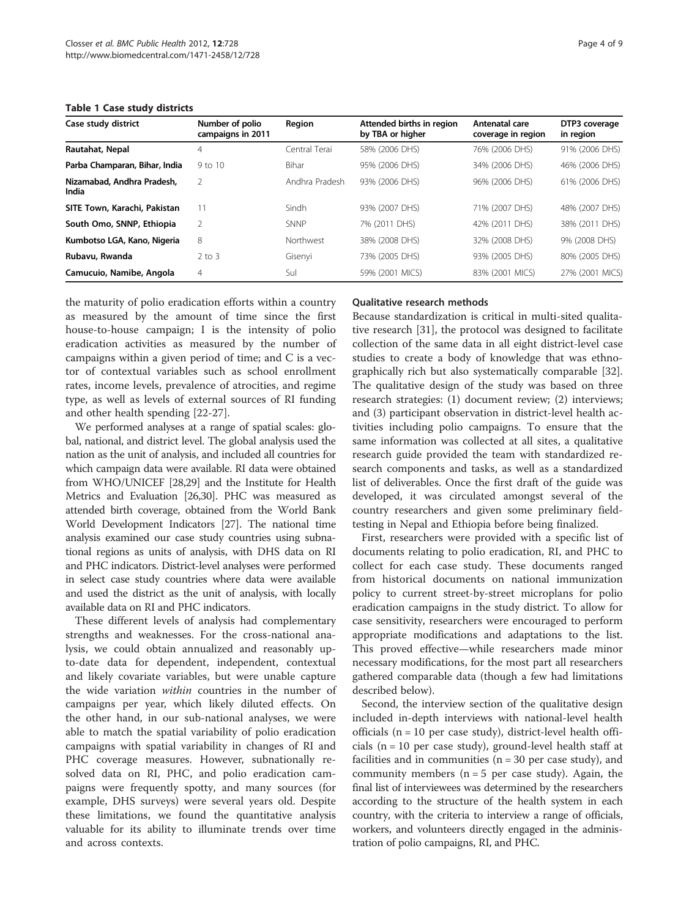#### <span id="page-4-0"></span>Table 1 Case study districts

| Case study district                 | Number of polio<br>campaigns in 2011 | Region         | Attended births in region<br>by TBA or higher | Antenatal care<br>coverage in region | DTP3 coverage<br>in region |
|-------------------------------------|--------------------------------------|----------------|-----------------------------------------------|--------------------------------------|----------------------------|
| Rautahat, Nepal                     | 4                                    | Central Terai  | 58% (2006 DHS)                                | 76% (2006 DHS)                       | 91% (2006 DHS)             |
| Parba Champaran, Bihar, India       | $9$ to $10$                          | <b>Bihar</b>   | 95% (2006 DHS)                                | 34% (2006 DHS)                       | 46% (2006 DHS)             |
| Nizamabad, Andhra Pradesh,<br>India |                                      | Andhra Pradesh | 93% (2006 DHS)                                | 96% (2006 DHS)                       | 61% (2006 DHS)             |
| SITE Town, Karachi, Pakistan        | 11                                   | Sindh          | 93% (2007 DHS)                                | 71% (2007 DHS)                       | 48% (2007 DHS)             |
| South Omo, SNNP, Ethiopia           |                                      | <b>SNNP</b>    | 7% (2011 DHS)                                 | 42% (2011 DHS)                       | 38% (2011 DHS)             |
| Kumbotso LGA, Kano, Nigeria         | 8                                    | Northwest      | 38% (2008 DHS)                                | 32% (2008 DHS)                       | 9% (2008 DHS)              |
| Rubavu, Rwanda                      | $2$ to $3$                           | Gisenyi        | 73% (2005 DHS)                                | 93% (2005 DHS)                       | 80% (2005 DHS)             |
| Camucuio, Namibe, Angola            | 4                                    | Sul            | 59% (2001 MICS)                               | 83% (2001 MICS)                      | 27% (2001 MICS)            |

the maturity of polio eradication efforts within a country as measured by the amount of time since the first house-to-house campaign; I is the intensity of polio eradication activities as measured by the number of campaigns within a given period of time; and C is a vector of contextual variables such as school enrollment rates, income levels, prevalence of atrocities, and regime type, as well as levels of external sources of RI funding and other health spending [\[22-27](#page-9-0)].

We performed analyses at a range of spatial scales: global, national, and district level. The global analysis used the nation as the unit of analysis, and included all countries for which campaign data were available. RI data were obtained from WHO/UNICEF [\[28,29](#page-9-0)] and the Institute for Health Metrics and Evaluation [\[26,30](#page-9-0)]. PHC was measured as attended birth coverage, obtained from the World Bank World Development Indicators [\[27\]](#page-9-0). The national time analysis examined our case study countries using subnational regions as units of analysis, with DHS data on RI and PHC indicators. District-level analyses were performed in select case study countries where data were available and used the district as the unit of analysis, with locally available data on RI and PHC indicators.

These different levels of analysis had complementary strengths and weaknesses. For the cross-national analysis, we could obtain annualized and reasonably upto-date data for dependent, independent, contextual and likely covariate variables, but were unable capture the wide variation within countries in the number of campaigns per year, which likely diluted effects. On the other hand, in our sub-national analyses, we were able to match the spatial variability of polio eradication campaigns with spatial variability in changes of RI and PHC coverage measures. However, subnationally resolved data on RI, PHC, and polio eradication campaigns were frequently spotty, and many sources (for example, DHS surveys) were several years old. Despite these limitations, we found the quantitative analysis valuable for its ability to illuminate trends over time and across contexts.

## Qualitative research methods

Because standardization is critical in multi-sited qualitative research [\[31\]](#page-9-0), the protocol was designed to facilitate collection of the same data in all eight district-level case studies to create a body of knowledge that was ethnographically rich but also systematically comparable [\[32](#page-9-0)]. The qualitative design of the study was based on three research strategies: (1) document review; (2) interviews; and (3) participant observation in district-level health activities including polio campaigns. To ensure that the same information was collected at all sites, a qualitative research guide provided the team with standardized research components and tasks, as well as a standardized list of deliverables. Once the first draft of the guide was developed, it was circulated amongst several of the country researchers and given some preliminary fieldtesting in Nepal and Ethiopia before being finalized.

First, researchers were provided with a specific list of documents relating to polio eradication, RI, and PHC to collect for each case study. These documents ranged from historical documents on national immunization policy to current street-by-street microplans for polio eradication campaigns in the study district. To allow for case sensitivity, researchers were encouraged to perform appropriate modifications and adaptations to the list. This proved effective—while researchers made minor necessary modifications, for the most part all researchers gathered comparable data (though a few had limitations described below).

Second, the interview section of the qualitative design included in-depth interviews with national-level health officials  $(n = 10$  per case study), district-level health officials ( $n = 10$  per case study), ground-level health staff at facilities and in communities  $(n = 30$  per case study), and community members ( $n = 5$  per case study). Again, the final list of interviewees was determined by the researchers according to the structure of the health system in each country, with the criteria to interview a range of officials, workers, and volunteers directly engaged in the administration of polio campaigns, RI, and PHC.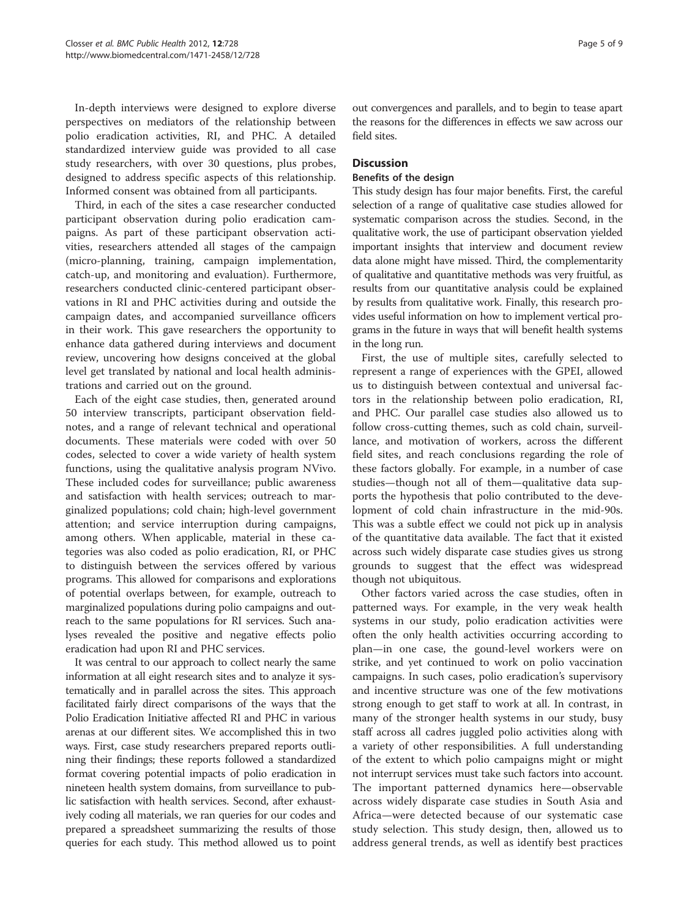In-depth interviews were designed to explore diverse perspectives on mediators of the relationship between polio eradication activities, RI, and PHC. A detailed standardized interview guide was provided to all case study researchers, with over 30 questions, plus probes, designed to address specific aspects of this relationship. Informed consent was obtained from all participants.

Third, in each of the sites a case researcher conducted participant observation during polio eradication campaigns. As part of these participant observation activities, researchers attended all stages of the campaign (micro-planning, training, campaign implementation, catch-up, and monitoring and evaluation). Furthermore, researchers conducted clinic-centered participant observations in RI and PHC activities during and outside the campaign dates, and accompanied surveillance officers in their work. This gave researchers the opportunity to enhance data gathered during interviews and document review, uncovering how designs conceived at the global level get translated by national and local health administrations and carried out on the ground.

Each of the eight case studies, then, generated around 50 interview transcripts, participant observation fieldnotes, and a range of relevant technical and operational documents. These materials were coded with over 50 codes, selected to cover a wide variety of health system functions, using the qualitative analysis program NVivo. These included codes for surveillance; public awareness and satisfaction with health services; outreach to marginalized populations; cold chain; high-level government attention; and service interruption during campaigns, among others. When applicable, material in these categories was also coded as polio eradication, RI, or PHC to distinguish between the services offered by various programs. This allowed for comparisons and explorations of potential overlaps between, for example, outreach to marginalized populations during polio campaigns and outreach to the same populations for RI services. Such analyses revealed the positive and negative effects polio eradication had upon RI and PHC services.

It was central to our approach to collect nearly the same information at all eight research sites and to analyze it systematically and in parallel across the sites. This approach facilitated fairly direct comparisons of the ways that the Polio Eradication Initiative affected RI and PHC in various arenas at our different sites. We accomplished this in two ways. First, case study researchers prepared reports outlining their findings; these reports followed a standardized format covering potential impacts of polio eradication in nineteen health system domains, from surveillance to public satisfaction with health services. Second, after exhaustively coding all materials, we ran queries for our codes and prepared a spreadsheet summarizing the results of those queries for each study. This method allowed us to point out convergences and parallels, and to begin to tease apart the reasons for the differences in effects we saw across our field sites.

# **Discussion**

#### Benefits of the design

This study design has four major benefits. First, the careful selection of a range of qualitative case studies allowed for systematic comparison across the studies. Second, in the qualitative work, the use of participant observation yielded important insights that interview and document review data alone might have missed. Third, the complementarity of qualitative and quantitative methods was very fruitful, as results from our quantitative analysis could be explained by results from qualitative work. Finally, this research provides useful information on how to implement vertical programs in the future in ways that will benefit health systems in the long run.

First, the use of multiple sites, carefully selected to represent a range of experiences with the GPEI, allowed us to distinguish between contextual and universal factors in the relationship between polio eradication, RI, and PHC. Our parallel case studies also allowed us to follow cross-cutting themes, such as cold chain, surveillance, and motivation of workers, across the different field sites, and reach conclusions regarding the role of these factors globally. For example, in a number of case studies—though not all of them—qualitative data supports the hypothesis that polio contributed to the development of cold chain infrastructure in the mid-90s. This was a subtle effect we could not pick up in analysis of the quantitative data available. The fact that it existed across such widely disparate case studies gives us strong grounds to suggest that the effect was widespread though not ubiquitous.

Other factors varied across the case studies, often in patterned ways. For example, in the very weak health systems in our study, polio eradication activities were often the only health activities occurring according to plan—in one case, the gound-level workers were on strike, and yet continued to work on polio vaccination campaigns. In such cases, polio eradication's supervisory and incentive structure was one of the few motivations strong enough to get staff to work at all. In contrast, in many of the stronger health systems in our study, busy staff across all cadres juggled polio activities along with a variety of other responsibilities. A full understanding of the extent to which polio campaigns might or might not interrupt services must take such factors into account. The important patterned dynamics here—observable across widely disparate case studies in South Asia and Africa—were detected because of our systematic case study selection. This study design, then, allowed us to address general trends, as well as identify best practices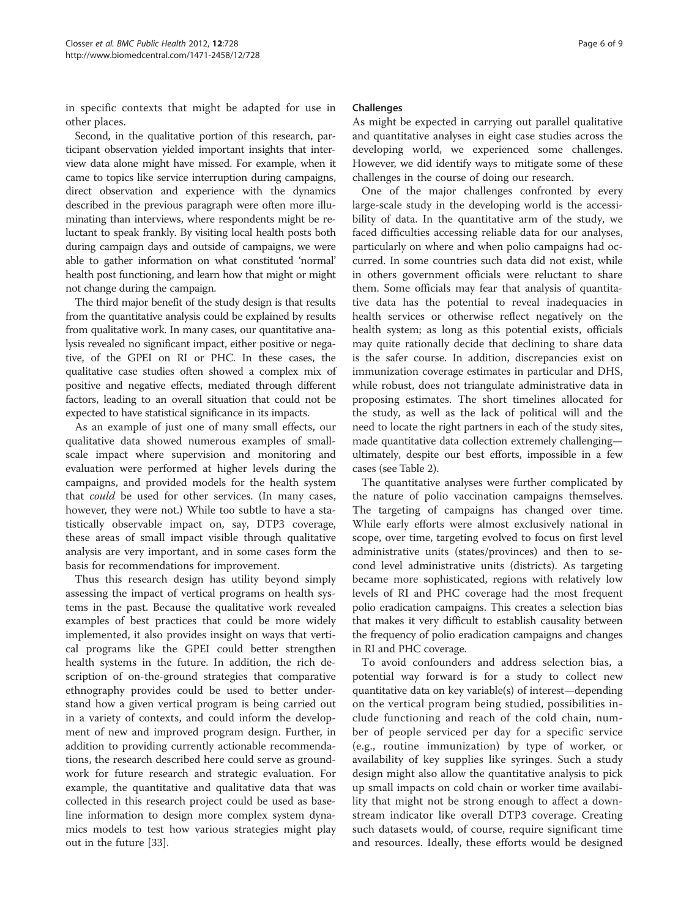in specific contexts that might be adapted for use in other places.

Second, in the qualitative portion of this research, participant observation yielded important insights that interview data alone might have missed. For example, when it came to topics like service interruption during campaigns, direct observation and experience with the dynamics described in the previous paragraph were often more illuminating than interviews, where respondents might be reluctant to speak frankly. By visiting local health posts both during campaign days and outside of campaigns, we were able to gather information on what constituted 'normal' health post functioning, and learn how that might or might not change during the campaign.

The third major benefit of the study design is that results from the quantitative analysis could be explained by results from qualitative work. In many cases, our quantitative analysis revealed no significant impact, either positive or negative, of the GPEI on RI or PHC. In these cases, the qualitative case studies often showed a complex mix of positive and negative effects, mediated through different factors, leading to an overall situation that could not be expected to have statistical significance in its impacts.

As an example of just one of many small effects, our qualitative data showed numerous examples of smallscale impact where supervision and monitoring and evaluation were performed at higher levels during the campaigns, and provided models for the health system that could be used for other services. (In many cases, however, they were not.) While too subtle to have a statistically observable impact on, say, DTP3 coverage, these areas of small impact visible through qualitative analysis are very important, and in some cases form the basis for recommendations for improvement.

Thus this research design has utility beyond simply assessing the impact of vertical programs on health systems in the past. Because the qualitative work revealed examples of best practices that could be more widely implemented, it also provides insight on ways that vertical programs like the GPEI could better strengthen health systems in the future. In addition, the rich description of on-the-ground strategies that comparative ethnography provides could be used to better understand how a given vertical program is being carried out in a variety of contexts, and could inform the development of new and improved program design. Further, in addition to providing currently actionable recommendations, the research described here could serve as groundwork for future research and strategic evaluation. For example, the quantitative and qualitative data that was collected in this research project could be used as baseline information to design more complex system dynamics models to test how various strategies might play out in the future [[33\]](#page-9-0).

## Challenges

As might be expected in carrying out parallel qualitative and quantitative analyses in eight case studies across the developing world, we experienced some challenges. However, we did identify ways to mitigate some of these challenges in the course of doing our research.

One of the major challenges confronted by every large-scale study in the developing world is the accessibility of data. In the quantitative arm of the study, we faced difficulties accessing reliable data for our analyses, particularly on where and when polio campaigns had occurred. In some countries such data did not exist, while in others government officials were reluctant to share them. Some officials may fear that analysis of quantitative data has the potential to reveal inadequacies in health services or otherwise reflect negatively on the health system; as long as this potential exists, officials may quite rationally decide that declining to share data is the safer course. In addition, discrepancies exist on immunization coverage estimates in particular and DHS, while robust, does not triangulate administrative data in proposing estimates. The short timelines allocated for the study, as well as the lack of political will and the need to locate the right partners in each of the study sites, made quantitative data collection extremely challenging ultimately, despite our best efforts, impossible in a few cases (see Table [2](#page-7-0)).

The quantitative analyses were further complicated by the nature of polio vaccination campaigns themselves. The targeting of campaigns has changed over time. While early efforts were almost exclusively national in scope, over time, targeting evolved to focus on first level administrative units (states/provinces) and then to second level administrative units (districts). As targeting became more sophisticated, regions with relatively low levels of RI and PHC coverage had the most frequent polio eradication campaigns. This creates a selection bias that makes it very difficult to establish causality between the frequency of polio eradication campaigns and changes in RI and PHC coverage.

To avoid confounders and address selection bias, a potential way forward is for a study to collect new quantitative data on key variable(s) of interest—depending on the vertical program being studied, possibilities include functioning and reach of the cold chain, number of people serviced per day for a specific service (e.g., routine immunization) by type of worker, or availability of key supplies like syringes. Such a study design might also allow the quantitative analysis to pick up small impacts on cold chain or worker time availability that might not be strong enough to affect a downstream indicator like overall DTP3 coverage. Creating such datasets would, of course, require significant time and resources. Ideally, these efforts would be designed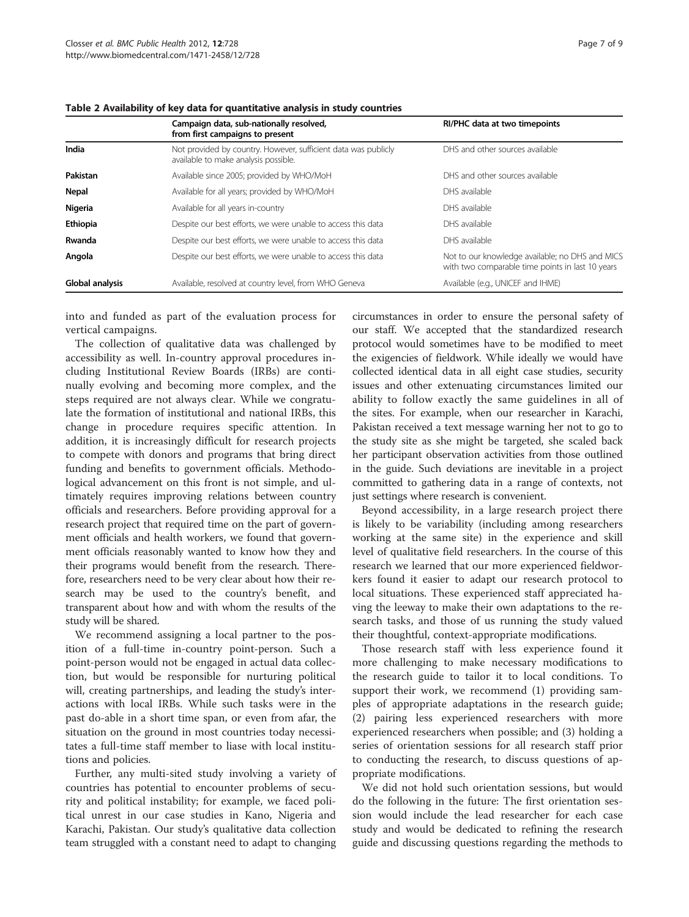|                        | Campaign data, sub-nationally resolved,<br>from first campaigns to present                             | RI/PHC data at two timepoints                                                                       |  |
|------------------------|--------------------------------------------------------------------------------------------------------|-----------------------------------------------------------------------------------------------------|--|
| India                  | Not provided by country. However, sufficient data was publicly<br>available to make analysis possible. | DHS and other sources available                                                                     |  |
| Pakistan               | Available since 2005; provided by WHO/MoH                                                              | DHS and other sources available                                                                     |  |
| Nepal                  | Available for all years; provided by WHO/MoH                                                           | DHS available                                                                                       |  |
| Nigeria                | Available for all years in-country                                                                     | DHS available                                                                                       |  |
| Ethiopia               | Despite our best efforts, we were unable to access this data                                           | DHS available                                                                                       |  |
| Rwanda                 | Despite our best efforts, we were unable to access this data                                           | DHS available                                                                                       |  |
| Angola                 | Despite our best efforts, we were unable to access this data                                           | Not to our knowledge available; no DHS and MICS<br>with two comparable time points in last 10 years |  |
| <b>Global analysis</b> | Available, resolved at country level, from WHO Geneva                                                  | Available (e.g., UNICEF and IHME)                                                                   |  |

<span id="page-7-0"></span>Table 2 Availability of key data for quantitative analysis in study countries

into and funded as part of the evaluation process for vertical campaigns.

The collection of qualitative data was challenged by accessibility as well. In-country approval procedures including Institutional Review Boards (IRBs) are continually evolving and becoming more complex, and the steps required are not always clear. While we congratulate the formation of institutional and national IRBs, this change in procedure requires specific attention. In addition, it is increasingly difficult for research projects to compete with donors and programs that bring direct funding and benefits to government officials. Methodological advancement on this front is not simple, and ultimately requires improving relations between country officials and researchers. Before providing approval for a research project that required time on the part of government officials and health workers, we found that government officials reasonably wanted to know how they and their programs would benefit from the research. Therefore, researchers need to be very clear about how their research may be used to the country's benefit, and transparent about how and with whom the results of the study will be shared.

We recommend assigning a local partner to the position of a full-time in-country point-person. Such a point-person would not be engaged in actual data collection, but would be responsible for nurturing political will, creating partnerships, and leading the study's interactions with local IRBs. While such tasks were in the past do-able in a short time span, or even from afar, the situation on the ground in most countries today necessitates a full-time staff member to liase with local institutions and policies.

Further, any multi-sited study involving a variety of countries has potential to encounter problems of security and political instability; for example, we faced political unrest in our case studies in Kano, Nigeria and Karachi, Pakistan. Our study's qualitative data collection team struggled with a constant need to adapt to changing circumstances in order to ensure the personal safety of our staff. We accepted that the standardized research protocol would sometimes have to be modified to meet the exigencies of fieldwork. While ideally we would have collected identical data in all eight case studies, security issues and other extenuating circumstances limited our ability to follow exactly the same guidelines in all of the sites. For example, when our researcher in Karachi, Pakistan received a text message warning her not to go to the study site as she might be targeted, she scaled back her participant observation activities from those outlined in the guide. Such deviations are inevitable in a project committed to gathering data in a range of contexts, not just settings where research is convenient.

Beyond accessibility, in a large research project there is likely to be variability (including among researchers working at the same site) in the experience and skill level of qualitative field researchers. In the course of this research we learned that our more experienced fieldworkers found it easier to adapt our research protocol to local situations. These experienced staff appreciated having the leeway to make their own adaptations to the research tasks, and those of us running the study valued their thoughtful, context-appropriate modifications.

Those research staff with less experience found it more challenging to make necessary modifications to the research guide to tailor it to local conditions. To support their work, we recommend (1) providing samples of appropriate adaptations in the research guide; (2) pairing less experienced researchers with more experienced researchers when possible; and (3) holding a series of orientation sessions for all research staff prior to conducting the research, to discuss questions of appropriate modifications.

We did not hold such orientation sessions, but would do the following in the future: The first orientation session would include the lead researcher for each case study and would be dedicated to refining the research guide and discussing questions regarding the methods to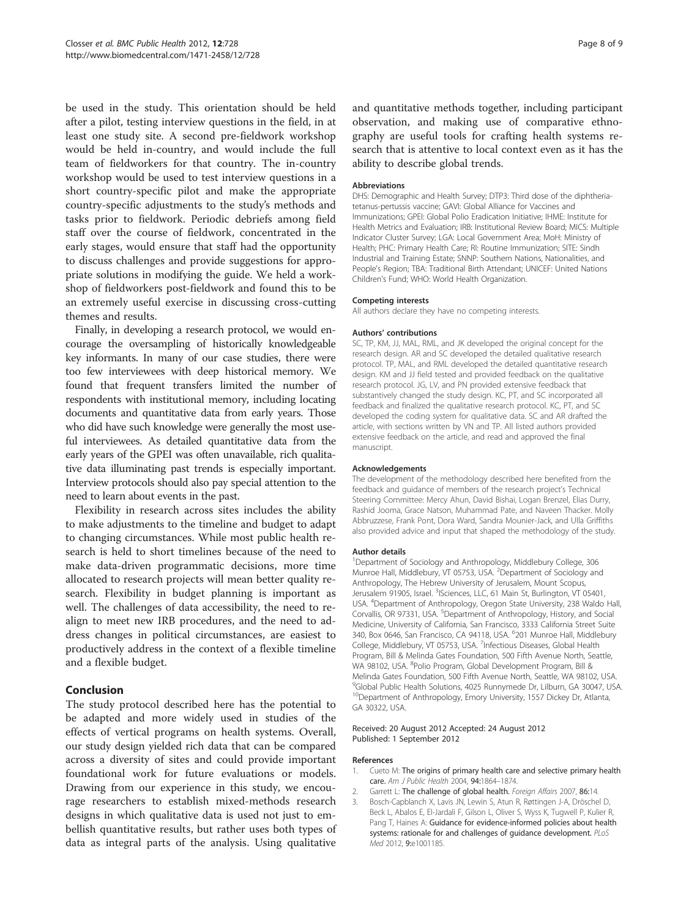<span id="page-8-0"></span>be used in the study. This orientation should be held after a pilot, testing interview questions in the field, in at least one study site. A second pre-fieldwork workshop would be held in-country, and would include the full team of fieldworkers for that country. The in-country workshop would be used to test interview questions in a short country-specific pilot and make the appropriate country-specific adjustments to the study's methods and tasks prior to fieldwork. Periodic debriefs among field staff over the course of fieldwork, concentrated in the early stages, would ensure that staff had the opportunity to discuss challenges and provide suggestions for appropriate solutions in modifying the guide. We held a workshop of fieldworkers post-fieldwork and found this to be an extremely useful exercise in discussing cross-cutting themes and results.

Finally, in developing a research protocol, we would encourage the oversampling of historically knowledgeable key informants. In many of our case studies, there were too few interviewees with deep historical memory. We found that frequent transfers limited the number of respondents with institutional memory, including locating documents and quantitative data from early years. Those who did have such knowledge were generally the most useful interviewees. As detailed quantitative data from the early years of the GPEI was often unavailable, rich qualitative data illuminating past trends is especially important. Interview protocols should also pay special attention to the need to learn about events in the past.

Flexibility in research across sites includes the ability to make adjustments to the timeline and budget to adapt to changing circumstances. While most public health research is held to short timelines because of the need to make data-driven programmatic decisions, more time allocated to research projects will mean better quality research. Flexibility in budget planning is important as well. The challenges of data accessibility, the need to realign to meet new IRB procedures, and the need to address changes in political circumstances, are easiest to productively address in the context of a flexible timeline and a flexible budget.

# Conclusion

The study protocol described here has the potential to be adapted and more widely used in studies of the effects of vertical programs on health systems. Overall, our study design yielded rich data that can be compared across a diversity of sites and could provide important foundational work for future evaluations or models. Drawing from our experience in this study, we encourage researchers to establish mixed-methods research designs in which qualitative data is used not just to embellish quantitative results, but rather uses both types of data as integral parts of the analysis. Using qualitative

and quantitative methods together, including participant observation, and making use of comparative ethnography are useful tools for crafting health systems research that is attentive to local context even as it has the ability to describe global trends.

#### Abbreviations

DHS: Demographic and Health Survey; DTP3: Third dose of the diphtheriatetanus-pertussis vaccine; GAVI: Global Alliance for Vaccines and Immunizations; GPEI: Global Polio Eradication Initiative; IHME: Institute for Health Metrics and Evaluation; IRB: Institutional Review Board; MICS: Multiple Indicator Cluster Survey; LGA: Local Government Area; MoH: Ministry of Health; PHC: Primary Health Care; RI: Routine Immunization; SITE: Sindh Industrial and Training Estate; SNNP: Southern Nations, Nationalities, and People's Region; TBA: Traditional Birth Attendant; UNICEF: United Nations Children's Fund; WHO: World Health Organization.

#### Competing interests

All authors declare they have no competing interests.

#### Authors' contributions

SC, TP, KM, JJ, MAL, RML, and JK developed the original concept for the research design. AR and SC developed the detailed qualitative research protocol. TP, MAL, and RML developed the detailed quantitative research design. KM and JJ field tested and provided feedback on the qualitative research protocol. JG, LV, and PN provided extensive feedback that substantively changed the study design. KC, PT, and SC incorporated all feedback and finalized the qualitative research protocol. KC, PT, and SC developed the coding system for qualitative data. SC and AR drafted the article, with sections written by VN and TP. All listed authors provided extensive feedback on the article, and read and approved the final manuscript.

#### Acknowledgements

The development of the methodology described here benefited from the feedback and guidance of members of the research project's Technical Steering Committee: Mercy Ahun, David Bishai, Logan Brenzel, Elias Durry, Rashid Jooma, Grace Natson, Muhammad Pate, and Naveen Thacker. Molly Abbruzzese, Frank Pont, Dora Ward, Sandra Mounier-Jack, and Ulla Griffiths also provided advice and input that shaped the methodology of the study.

#### Author details

<sup>1</sup>Department of Sociology and Anthropology, Middlebury College, 306 Munroe Hall, Middlebury, VT 05753, USA. <sup>2</sup> Department of Sociology and Anthropology, The Hebrew University of Jerusalem, Mount Scopus, Jerusalem 91905, Israel. <sup>3</sup>ISciences, LLC, 61 Main St, Burlington, VT 05401, USA. <sup>4</sup>Department of Anthropology, Oregon State University, 238 Waldo Hall Corvallis, OR 97331, USA. <sup>5</sup>Department of Anthropology, History, and Social Medicine, University of California, San Francisco, 3333 California Street Suite 340, Box 0646, San Francisco, CA 94118, USA. <sup>6</sup>201 Munroe Hall, Middlebury College, Middlebury, VT 05753, USA. <sup>7</sup>Infectious Diseases, Global Health Program, Bill & Melinda Gates Foundation, 500 Fifth Avenue North, Seattle, WA 98102, USA. <sup>8</sup>Polio Program, Global Development Program, Bill & Melinda Gates Foundation, 500 Fifth Avenue North, Seattle, WA 98102, USA. <sup>9</sup>Global Public Health Solutions, 4025 Runnymede Dr, Lilburn, GA 30047, USA. <sup>10</sup>Department of Anthropology, Emory University, 1557 Dickey Dr, Atlanta, GA 30322, USA.

#### Received: 20 August 2012 Accepted: 24 August 2012 Published: 1 September 2012

#### References

- 1. Cueto M: The origins of primary health care and selective primary health care. Am J Public Health 2004, 94:1864–1874.
- 2. Garrett L: The challenge of global health. Foreign Affairs 2007, 86:14.
- 3. Bosch-Capblanch X, Lavis JN, Lewin S, Atun R, Røttingen J-A, Dröschel D, Beck L, Abalos E, El-Jardali F, Gilson L, Oliver S, Wyss K, Tugwell P, Kulier R, Pang T, Haines A: Guidance for evidence-informed policies about health systems: rationale for and challenges of guidance development. PLoS Med 2012, 9:e1001185.